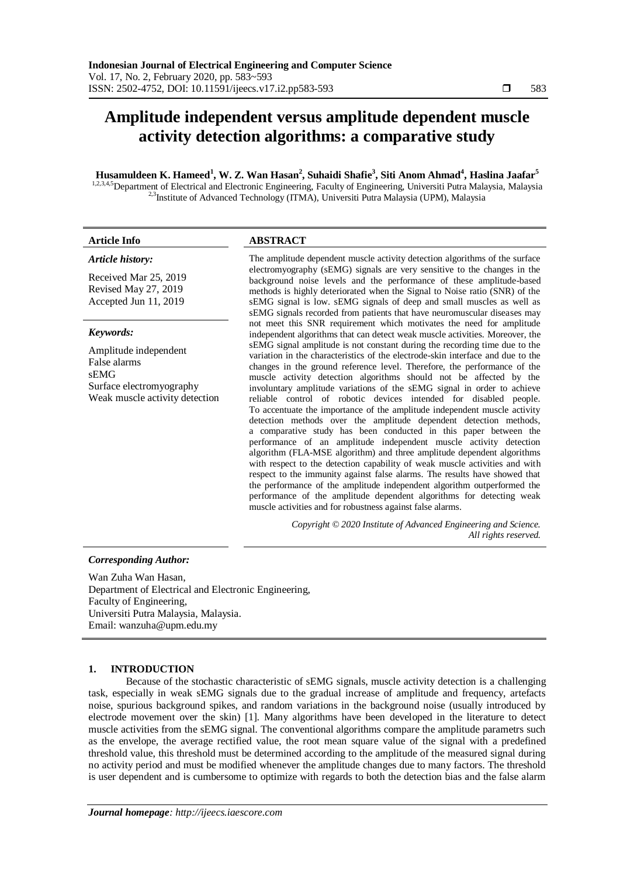# **Amplitude independent versus amplitude dependent muscle activity detection algorithms: a comparative study**

## **Husamuldeen K. Hameed<sup>1</sup> , W. Z. Wan Hasan<sup>2</sup> , Suhaidi Shafie<sup>3</sup> , Siti Anom Ahmad<sup>4</sup> , Haslina Jaafar<sup>5</sup>**

1,2,3,4,5Department of Electrical and Electronic Engineering, Faculty of Engineering, Universiti Putra Malaysia, Malaysia <sup>2,3</sup>Institute of Advanced Technology (ITMA), Universiti Putra Malaysia (UPM), Malaysia

| <b>Article Info</b>                                                                                         | <b>ABSTRACT</b>                                                                                                                                                                                                                                                                                                                                                                                                                                                                                                                                                                                                                                                                                                                                                                                                                                                                                                                                                                                                                                                                                                                                                                                                                                                                                                                                                            |
|-------------------------------------------------------------------------------------------------------------|----------------------------------------------------------------------------------------------------------------------------------------------------------------------------------------------------------------------------------------------------------------------------------------------------------------------------------------------------------------------------------------------------------------------------------------------------------------------------------------------------------------------------------------------------------------------------------------------------------------------------------------------------------------------------------------------------------------------------------------------------------------------------------------------------------------------------------------------------------------------------------------------------------------------------------------------------------------------------------------------------------------------------------------------------------------------------------------------------------------------------------------------------------------------------------------------------------------------------------------------------------------------------------------------------------------------------------------------------------------------------|
| Article history:                                                                                            | The amplitude dependent muscle activity detection algorithms of the surface                                                                                                                                                                                                                                                                                                                                                                                                                                                                                                                                                                                                                                                                                                                                                                                                                                                                                                                                                                                                                                                                                                                                                                                                                                                                                                |
| Received Mar 25, 2019<br>Revised May 27, 2019<br>Accepted Jun 11, 2019                                      | electromyography (sEMG) signals are very sensitive to the changes in the<br>background noise levels and the performance of these amplitude-based<br>methods is highly deteriorated when the Signal to Noise ratio (SNR) of the<br>sEMG signal is low. sEMG signals of deep and small muscles as well as<br>sEMG signals recorded from patients that have neuromuscular diseases may                                                                                                                                                                                                                                                                                                                                                                                                                                                                                                                                                                                                                                                                                                                                                                                                                                                                                                                                                                                        |
| Keywords:                                                                                                   | not meet this SNR requirement which motivates the need for amplitude<br>independent algorithms that can detect weak muscle activities. Moreover, the<br>sEMG signal amplitude is not constant during the recording time due to the<br>variation in the characteristics of the electrode-skin interface and due to the<br>changes in the ground reference level. Therefore, the performance of the<br>muscle activity detection algorithms should not be affected by the<br>involuntary amplitude variations of the sEMG signal in order to achieve<br>reliable control of robotic devices intended for disabled people.<br>To accentuate the importance of the amplitude independent muscle activity<br>detection methods over the amplitude dependent detection methods,<br>a comparative study has been conducted in this paper between the<br>performance of an amplitude independent muscle activity detection<br>algorithm (FLA-MSE algorithm) and three amplitude dependent algorithms<br>with respect to the detection capability of weak muscle activities and with<br>respect to the immunity against false alarms. The results have showed that<br>the performance of the amplitude independent algorithm outperformed the<br>performance of the amplitude dependent algorithms for detecting weak<br>muscle activities and for robustness against false alarms. |
| Amplitude independent<br>False alarms<br>sEMG<br>Surface electromyography<br>Weak muscle activity detection |                                                                                                                                                                                                                                                                                                                                                                                                                                                                                                                                                                                                                                                                                                                                                                                                                                                                                                                                                                                                                                                                                                                                                                                                                                                                                                                                                                            |
|                                                                                                             | Copyright © 2020 Institute of Advanced Engineering and Science.<br>All rights reserved.                                                                                                                                                                                                                                                                                                                                                                                                                                                                                                                                                                                                                                                                                                                                                                                                                                                                                                                                                                                                                                                                                                                                                                                                                                                                                    |

## *Corresponding Author:*

Wan Zuha Wan Hasan, Department of Electrical and Electronic Engineering, Faculty of Engineering, Universiti Putra Malaysia, Malaysia. Email: wanzuha@upm.edu.my

## **1. INTRODUCTION**

Because of the stochastic characteristic of sEMG signals, muscle activity detection is a challenging task, especially in weak sEMG signals due to the gradual increase of amplitude and frequency, artefacts noise, spurious background spikes, and random variations in the background noise (usually introduced by electrode movement over the skin) [1]. Many algorithms have been developed in the literature to detect muscle activities from the sEMG signal. The conventional algorithms compare the amplitude parametrs such as the envelope, the average rectified value, the root mean square value of the signal with a predefined threshold value, this threshold must be determined according to the amplitude of the measured signal during no activity period and must be modified whenever the amplitude changes due to many factors. The threshold is user dependent and is cumbersome to optimize with regards to both the detection bias and the false alarm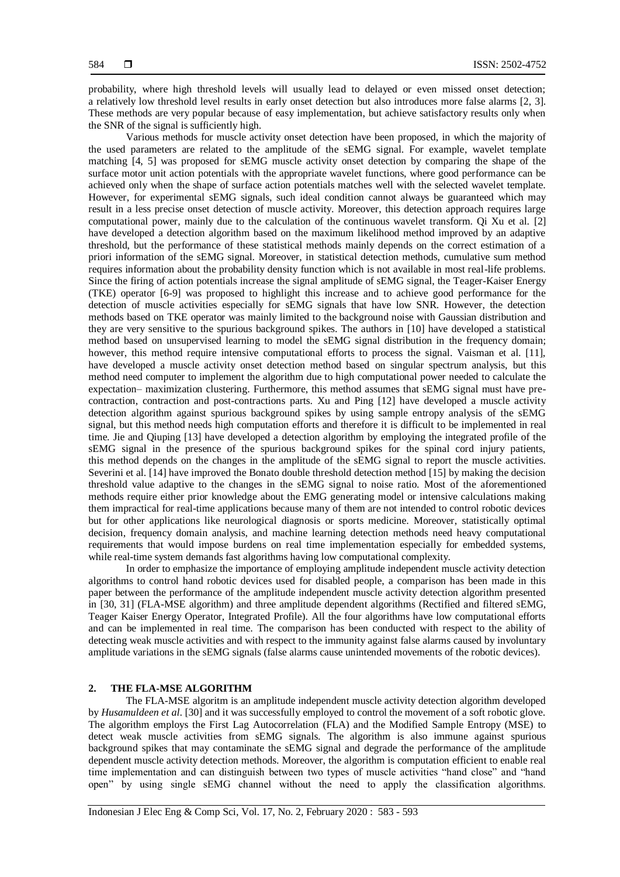probability, where high threshold levels will usually lead to delayed or even missed onset detection; a relatively low threshold level results in early onset detection but also introduces more false alarms [2, 3]. These methods are very popular because of easy implementation, but achieve satisfactory results only when the SNR of the signal is sufficiently high.

Various methods for muscle activity onset detection have been proposed, in which the majority of the used parameters are related to the amplitude of the sEMG signal. For example, wavelet template matching [4, 5] was proposed for sEMG muscle activity onset detection by comparing the shape of the surface motor unit action potentials with the appropriate wavelet functions, where good performance can be achieved only when the shape of surface action potentials matches well with the selected wavelet template. However, for experimental sEMG signals, such ideal condition cannot always be guaranteed which may result in a less precise onset detection of muscle activity. Moreover, this detection approach requires large computational power, mainly due to the calculation of the continuous wavelet transform. Qi Xu et al. [2] have developed a detection algorithm based on the maximum likelihood method improved by an adaptive threshold, but the performance of these statistical methods mainly depends on the correct estimation of a priori information of the sEMG signal. Moreover, in statistical detection methods, cumulative sum method requires information about the probability density function which is not available in most real-life problems. Since the firing of action potentials increase the signal amplitude of sEMG signal, the Teager-Kaiser Energy (TKE) operator [6-9] was proposed to highlight this increase and to achieve good performance for the detection of muscle activities especially for sEMG signals that have low SNR. However, the detection methods based on TKE operator was mainly limited to the background noise with Gaussian distribution and they are very sensitive to the spurious background spikes. The authors in [10] have developed a statistical method based on unsupervised learning to model the sEMG signal distribution in the frequency domain; however, this method require intensive computational efforts to process the signal. Vaisman et al. [11], have developed a muscle activity onset detection method based on singular spectrum analysis, but this method need computer to implement the algorithm due to high computational power needed to calculate the expectation– maximization clustering. Furthermore, this method assumes that sEMG signal must have precontraction, contraction and post-contractions parts. Xu and Ping [12] have developed a muscle activity detection algorithm against spurious background spikes by using sample entropy analysis of the sEMG signal, but this method needs high computation efforts and therefore it is difficult to be implemented in real time. Jie and Qiuping [13] have developed a detection algorithm by employing the integrated profile of the sEMG signal in the presence of the spurious background spikes for the spinal cord injury patients, this method depends on the changes in the amplitude of the sEMG signal to report the muscle activities. Severini et al. [14] have improved the Bonato double threshold detection method [15] by making the decision threshold value adaptive to the changes in the sEMG signal to noise ratio. Most of the aforementioned methods require either prior knowledge about the EMG generating model or intensive calculations making them impractical for real-time applications because many of them are not intended to control robotic devices but for other applications like neurological diagnosis or sports medicine. Moreover, statistically optimal decision, frequency domain analysis, and machine learning detection methods need heavy computational requirements that would impose burdens on real time implementation especially for embedded systems, while real-time system demands fast algorithms having low computational complexity.

In order to emphasize the importance of employing amplitude independent muscle activity detection algorithms to control hand robotic devices used for disabled people, a comparison has been made in this paper between the performance of the amplitude independent muscle activity detection algorithm presented in [30, 31] (FLA-MSE algorithm) and three amplitude dependent algorithms (Rectified and filtered sEMG, Teager Kaiser Energy Operator, Integrated Profile). All the four algorithms have low computational efforts and can be implemented in real time. The comparison has been conducted with respect to the ability of detecting weak muscle activities and with respect to the immunity against false alarms caused by involuntary amplitude variations in the sEMG signals (false alarms cause unintended movements of the robotic devices).

### **2. THE FLA-MSE ALGORITHM**

The FLA-MSE algoritm is an amplitude independent muscle activity detection algorithm developed by *Husamuldeen et al*. [30] and it was successfully employed to control the movement of a soft robotic glove. The algorithm employs the First Lag Autocorrelation (FLA) and the Modified Sample Entropy (MSE) to detect weak muscle activities from sEMG signals. The algorithm is also immune against spurious background spikes that may contaminate the sEMG signal and degrade the performance of the amplitude dependent muscle activity detection methods. Moreover, the algorithm is computation efficient to enable real time implementation and can distinguish between two types of muscle activities "hand close" and "hand open" by using single sEMG channel without the need to apply the classification algorithms.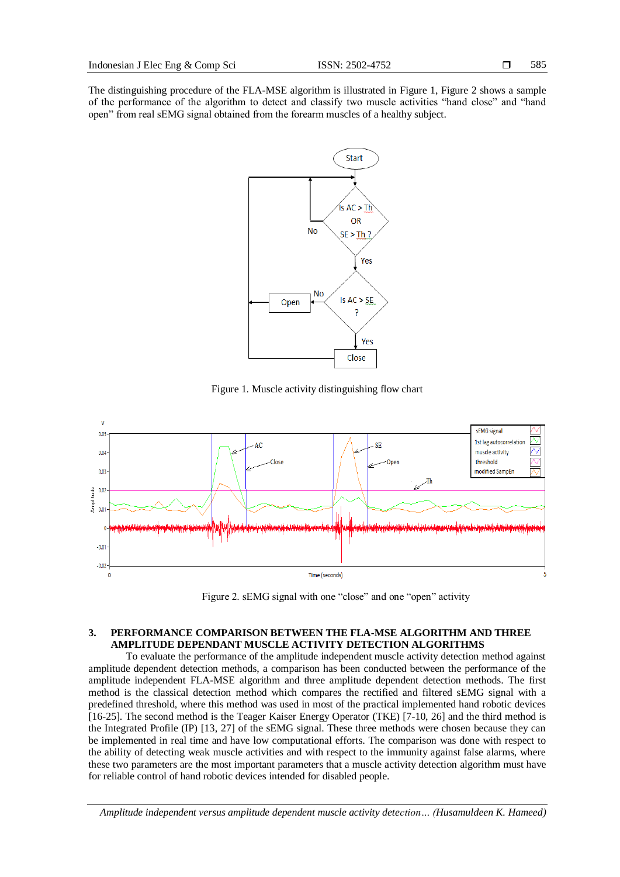The distinguishing procedure of the FLA-MSE algorithm is illustrated in Figure 1, Figure 2 shows a sample of the performance of the algorithm to detect and classify two muscle activities "hand close" and "hand open" from real sEMG signal obtained from the forearm muscles of a healthy subject.



Figure 1. Muscle activity distinguishing flow chart



Figure 2. sEMG signal with one "close" and one "open" activity

## **3. PERFORMANCE COMPARISON BETWEEN THE FLA-MSE ALGORITHM AND THREE AMPLITUDE DEPENDANT MUSCLE ACTIVITY DETECTION ALGORITHMS**

To evaluate the performance of the amplitude independent muscle activity detection method against amplitude dependent detection methods, a comparison has been conducted between the performance of the amplitude independent FLA-MSE algorithm and three amplitude dependent detection methods. The first method is the classical detection method which compares the rectified and filtered sEMG signal with a predefined threshold, where this method was used in most of the practical implemented hand robotic devices [16-25]. The second method is the Teager Kaiser Energy Operator (TKE) [7-10, 26] and the third method is the Integrated Profile (IP) [13, 27] of the sEMG signal. These three methods were chosen because they can be implemented in real time and have low computational efforts. The comparison was done with respect to the ability of detecting weak muscle activities and with respect to the immunity against false alarms, where these two parameters are the most important parameters that a muscle activity detection algorithm must have for reliable control of hand robotic devices intended for disabled people.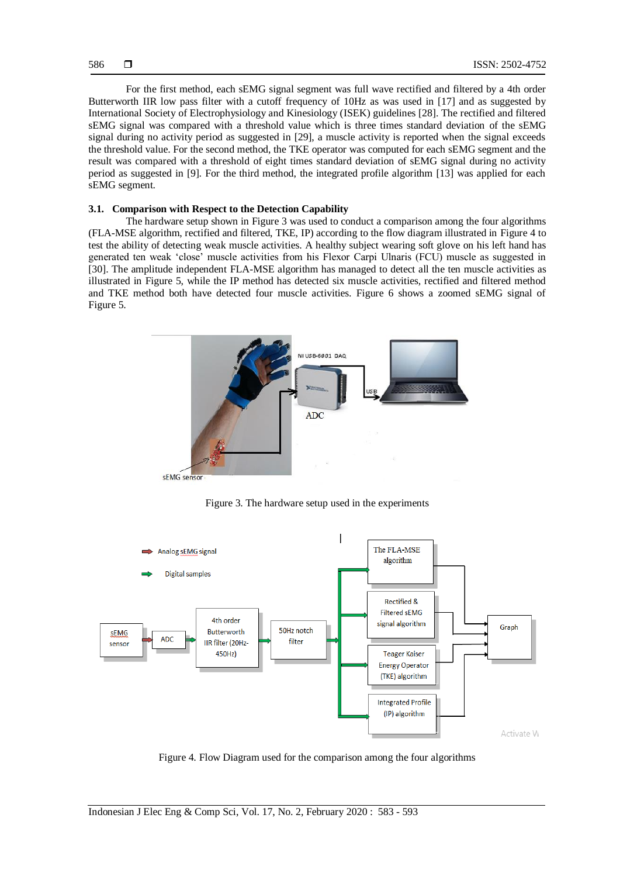For the first method, each sEMG signal segment was full wave rectified and filtered by a 4th order Butterworth IIR low pass filter with a cutoff frequency of 10Hz as was used in [17] and as suggested by International Society of Electrophysiology and Kinesiology (ISEK) guidelines [28]. The rectified and filtered sEMG signal was compared with a threshold value which is three times standard deviation of the sEMG signal during no activity period as suggested in [29], a muscle activity is reported when the signal exceeds the threshold value. For the second method, the TKE operator was computed for each sEMG segment and the result was compared with a threshold of eight times standard deviation of sEMG signal during no activity period as suggested in [9]. For the third method, the integrated profile algorithm [13] was applied for each sEMG segment.

#### **3.1. Comparison with Respect to the Detection Capability**

The hardware setup shown in Figure 3 was used to conduct a comparison among the four algorithms (FLA-MSE algorithm, rectified and filtered, TKE, IP) according to the flow diagram illustrated in Figure 4 to test the ability of detecting weak muscle activities. A healthy subject wearing soft glove on his left hand has generated ten weak "close" muscle activities from his Flexor Carpi Ulnaris (FCU) muscle as suggested in [30]. The amplitude independent FLA-MSE algorithm has managed to detect all the ten muscle activities as illustrated in Figure 5, while the IP method has detected six muscle activities, rectified and filtered method and TKE method both have detected four muscle activities. Figure 6 shows a zoomed sEMG signal of Figure 5.



Figure 3. The hardware setup used in the experiments



Figure 4. Flow Diagram used for the comparison among the four algorithms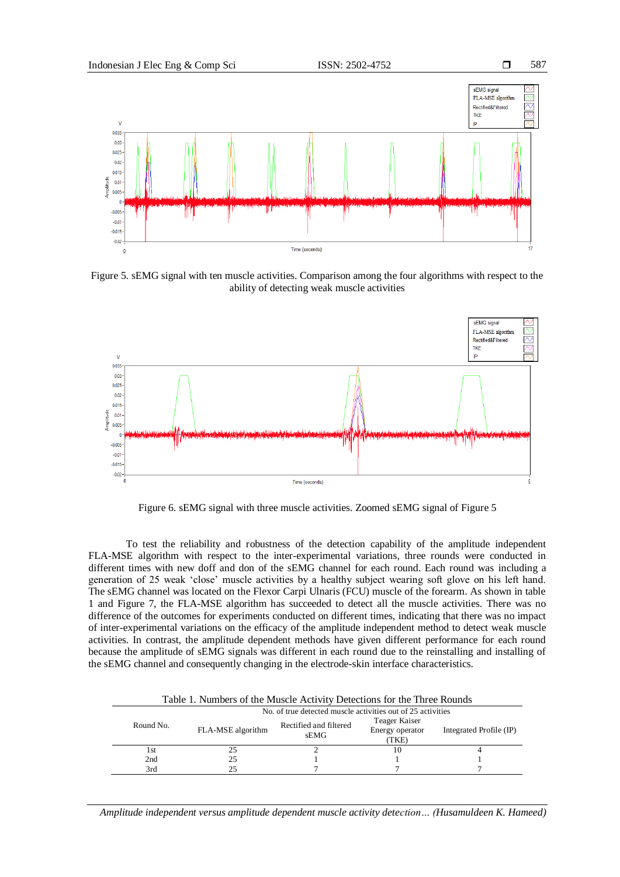

Figure 5. sEMG signal with ten muscle activities. Comparison among the four algorithms with respect to the ability of detecting weak muscle activities



Figure 6. sEMG signal with three muscle activities. Zoomed sEMG signal of Figure 5

To test the reliability and robustness of the detection capability of the amplitude independent FLA-MSE algorithm with respect to the inter-experimental variations, three rounds were conducted in different times with new doff and don of the sEMG channel for each round. Each round was including a generation of 25 weak "close" muscle activities by a healthy subject wearing soft glove on his left hand. The sEMG channel was located on the Flexor Carpi Ulnaris (FCU) muscle of the forearm. As shown in table 1 and Figure 7, the FLA-MSE algorithm has succeeded to detect all the muscle activities. There was no difference of the outcomes for experiments conducted on different times, indicating that there was no impact of inter-experimental variations on the efficacy of the amplitude independent method to detect weak muscle activities. In contrast, the amplitude dependent methods have given different performance for each round because the amplitude of sEMG signals was different in each round due to the reinstalling and installing of the sEMG channel and consequently changing in the electrode-skin interface characteristics.

| Table 1. Numbers of the Muscle Activity Detections for the Three Rounds |           |                                                             |                                |                                           |                         |  |
|-------------------------------------------------------------------------|-----------|-------------------------------------------------------------|--------------------------------|-------------------------------------------|-------------------------|--|
|                                                                         |           | No. of true detected muscle activities out of 25 activities |                                |                                           |                         |  |
|                                                                         | Round No. | FLA-MSE algorithm                                           | Rectified and filtered<br>sEMG | Teager Kaiser<br>Energy operator<br>(TKE) | Integrated Profile (IP) |  |
|                                                                         | 1st       | 25                                                          |                                | 10                                        |                         |  |
|                                                                         | 2nd       | 25                                                          |                                |                                           |                         |  |
|                                                                         | 3rd       | 25                                                          |                                |                                           |                         |  |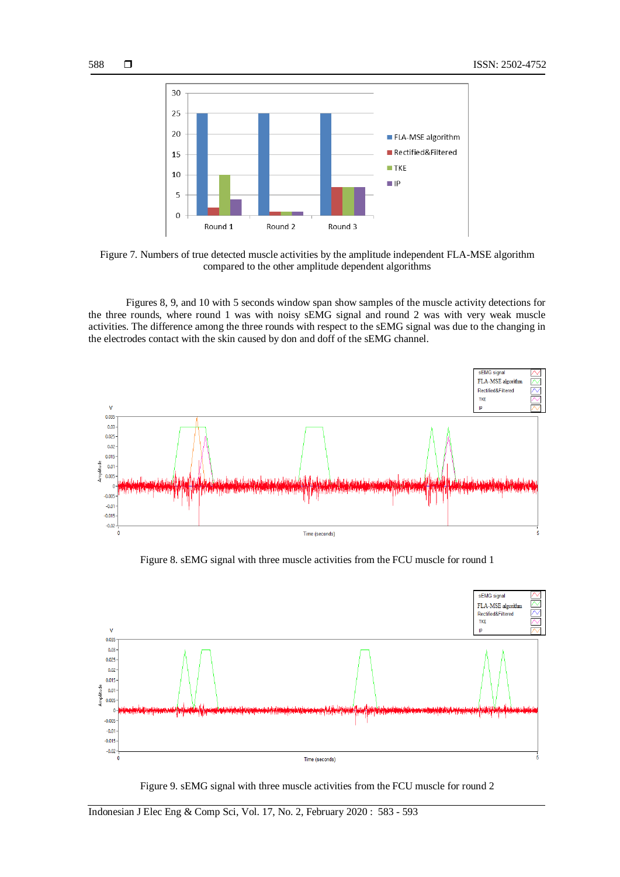

Figure 7. Numbers of true detected muscle activities by the amplitude independent FLA-MSE algorithm compared to the other amplitude dependent algorithms

Figures 8, 9, and 10 with 5 seconds window span show samples of the muscle activity detections for the three rounds, where round 1 was with noisy sEMG signal and round 2 was with very weak muscle activities. The difference among the three rounds with respect to the sEMG signal was due to the changing in the electrodes contact with the skin caused by don and doff of the sEMG channel.



Figure 8. sEMG signal with three muscle activities from the FCU muscle for round 1



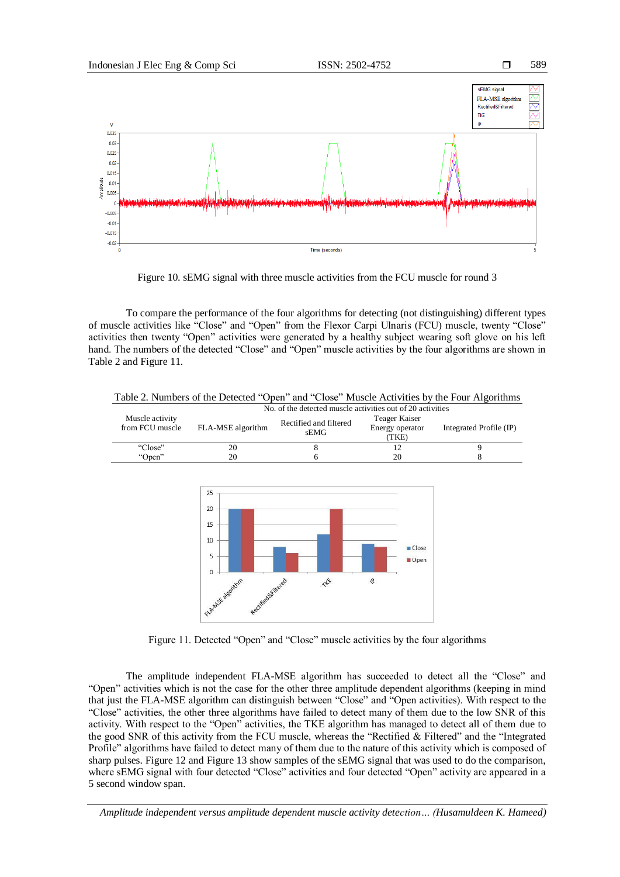

Figure 10. sEMG signal with three muscle activities from the FCU muscle for round 3

To compare the performance of the four algorithms for detecting (not distinguishing) different types of muscle activities like "Close" and "Open" from the Flexor Carpi Ulnaris (FCU) muscle, twenty "Close" activities then twenty "Open" activities were generated by a healthy subject wearing soft glove on his left hand. The numbers of the detected "Close" and "Open" muscle activities by the four algorithms are shown in Table 2 and Figure 11.



Table 2. Numbers of the Detected "Open" and "Close" Muscle Activities by the Four Algorithms

Figure 11. Detected "Open" and "Close" muscle activities by the four algorithms

The amplitude independent FLA-MSE algorithm has succeeded to detect all the "Close" and "Open" activities which is not the case for the other three amplitude dependent algorithms (keeping in mind that just the FLA-MSE algorithm can distinguish between "Close" and "Open activities). With respect to the "Close" activities, the other three algorithms have failed to detect many of them due to the low SNR of this activity. With respect to the "Open" activities, the TKE algorithm has managed to detect all of them due to the good SNR of this activity from the FCU muscle, whereas the "Rectified & Filtered" and the "Integrated Profile" algorithms have failed to detect many of them due to the nature of this activity which is composed of sharp pulses. Figure 12 and Figure 13 show samples of the sEMG signal that was used to do the comparison, where sEMG signal with four detected "Close" activities and four detected "Open" activity are appeared in a 5 second window span.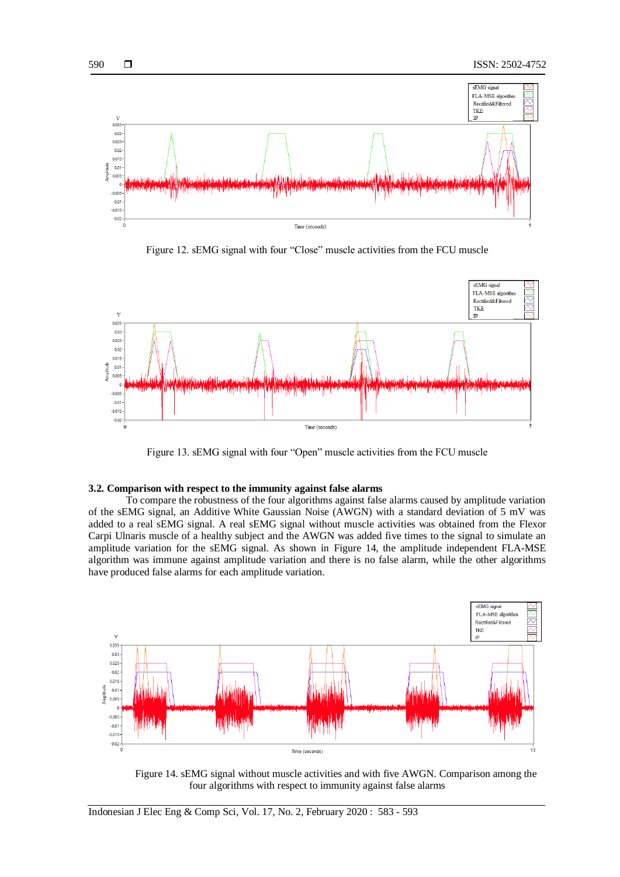

Figure 12. sEMG signal with four "Close" muscle activities from the FCU muscle



Figure 13. sEMG signal with four "Open" muscle activities from the FCU muscle

## **3.2. Comparison with respect to the immunity against false alarms**

To compare the robustness of the four algorithms against false alarms caused by amplitude variation of the sEMG signal, an Additive White Gaussian Noise (AWGN) with a standard deviation of 5 mV was added to a real sEMG signal. A real sEMG signal without muscle activities was obtained from the Flexor Carpi Ulnaris muscle of a healthy subject and the AWGN was added five times to the signal to simulate an amplitude variation for the sEMG signal. As shown in Figure 14, the amplitude independent FLA-MSE algorithm was immune against amplitude variation and there is no false alarm, while the other algorithms have produced false alarms for each amplitude variation.



Figure 14. sEMG signal without muscle activities and with five AWGN. Comparison among the four algorithms with respect to immunity against false alarms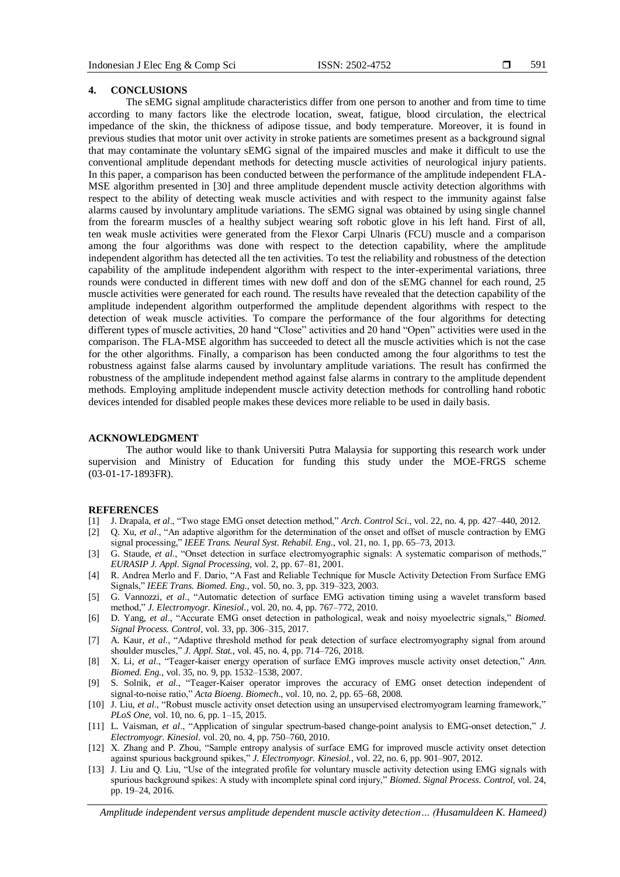#### **4. CONCLUSIONS**

The sEMG signal amplitude characteristics differ from one person to another and from time to time according to many factors like the electrode location, sweat, fatigue, blood circulation, the electrical impedance of the skin, the thickness of adipose tissue, and body temperature. Moreover, it is found in previous studies that motor unit over activity in stroke patients are sometimes present as a background signal that may contaminate the voluntary sEMG signal of the impaired muscles and make it difficult to use the conventional amplitude dependant methods for detecting muscle activities of neurological injury patients. In this paper, a comparison has been conducted between the performance of the amplitude independent FLA-MSE algorithm presented in [30] and three amplitude dependent muscle activity detection algorithms with respect to the ability of detecting weak muscle activities and with respect to the immunity against false alarms caused by involuntary amplitude variations. The sEMG signal was obtained by using single channel from the forearm muscles of a healthy subject wearing soft robotic glove in his left hand. First of all, ten weak musle activities were generated from the Flexor Carpi Ulnaris (FCU) muscle and a comparison among the four algorithms was done with respect to the detection capability, where the amplitude independent algorithm has detected all the ten activities. To test the reliability and robustness of the detection capability of the amplitude independent algorithm with respect to the inter-experimental variations, three rounds were conducted in different times with new doff and don of the sEMG channel for each round, 25 muscle activities were generated for each round. The results have revealed that the detection capability of the amplitude independent algorithm outperformed the amplitude dependent algorithms with respect to the detection of weak muscle activities. To compare the performance of the four algorithms for detecting different types of muscle activities, 20 hand "Close" activities and 20 hand "Open" activities were used in the comparison. The FLA-MSE algorithm has succeeded to detect all the muscle activities which is not the case for the other algorithms. Finally, a comparison has been conducted among the four algorithms to test the robustness against false alarms caused by involuntary amplitude variations. The result has confirmed the robustness of the amplitude independent method against false alarms in contrary to the amplitude dependent methods. Employing amplitude independent muscle activity detection methods for controlling hand robotic devices intended for disabled people makes these devices more reliable to be used in daily basis.

#### **ACKNOWLEDGMENT**

The author would like to thank Universiti Putra Malaysia for supporting this research work under supervision and Ministry of Education for funding this study under the MOE-FRGS scheme (03-01-17-1893FR).

#### **REFERENCES**

- [1] J. Drapala, *et al*., "Two stage EMG onset detection method," *Arch. Control Sci*., vol. 22, no. 4, pp. 427–440, 2012.
- [2] Q. Xu, *et al*., "An adaptive algorithm for the determination of the onset and offset of muscle contraction by EMG signal processing," *IEEE Trans. Neural Syst. Rehabil. Eng*., vol. 21, no. 1, pp. 65–73, 2013.
- [3] G. Staude, *et al*., "Onset detection in surface electromyographic signals: A systematic comparison of methods," *EURASIP J. Appl. Signal Processing*, vol. 2, pp. 67–81, 2001.
- [4] R. Andrea Merlo and F. Dario, "A Fast and Reliable Technique for Muscle Activity Detection From Surface EMG Signals," *IEEE Trans. Biomed. Eng.,* vol. 50, no. 3, pp. 319–323, 2003.
- [5] G. Vannozzi, *et al*., "Automatic detection of surface EMG activation timing using a wavelet transform based method," *J. Electromyogr. Kinesiol.*, vol. 20, no. 4, pp. 767–772, 2010.
- [6] D. Yang, *et al*., "Accurate EMG onset detection in pathological, weak and noisy myoelectric signals," *Biomed. Signal Process. Control,* vol. 33, pp. 306–315, 2017.
- [7] A. Kaur, *et al*., "Adaptive threshold method for peak detection of surface electromyography signal from around shoulder muscles," *J. Appl. Stat.,* vol. 45, no. 4, pp. 714–726, 2018.
- [8] X. Li, *et al*., "Teager-kaiser energy operation of surface EMG improves muscle activity onset detection," *Ann. Biomed. Eng.,* vol. 35, no. 9, pp. 1532–1538, 2007.
- [9] S. Solnik, *et al*., "Teager-Kaiser operator improves the accuracy of EMG onset detection independent of signal-to-noise ratio," *Acta Bioeng. Biomech*., vol. 10, no. 2, pp. 65–68, 2008.
- [10] J. Liu, *et al*., "Robust muscle activity onset detection using an unsupervised electromyogram learning framework," *PLoS One*, vol. 10, no. 6, pp. 1–15, 2015.
- [11] L. Vaisman, *et al*., "Application of singular spectrum-based change-point analysis to EMG-onset detection," *J. Electromyogr. Kinesiol*. vol. 20, no. 4, pp. 750–760, 2010.
- [12] X. Zhang and P. Zhou, "Sample entropy analysis of surface EMG for improved muscle activity onset detection against spurious background spikes," *J. Electromyogr. Kinesiol.,* vol. 22, no. 6, pp. 901–907, 2012.
- [13] J. Liu and Q. Liu, "Use of the integrated profile for voluntary muscle activity detection using EMG signals with spurious background spikes: A study with incomplete spinal cord injury," *Biomed. Signal Process. Control,* vol. 24, pp. 19–24, 2016.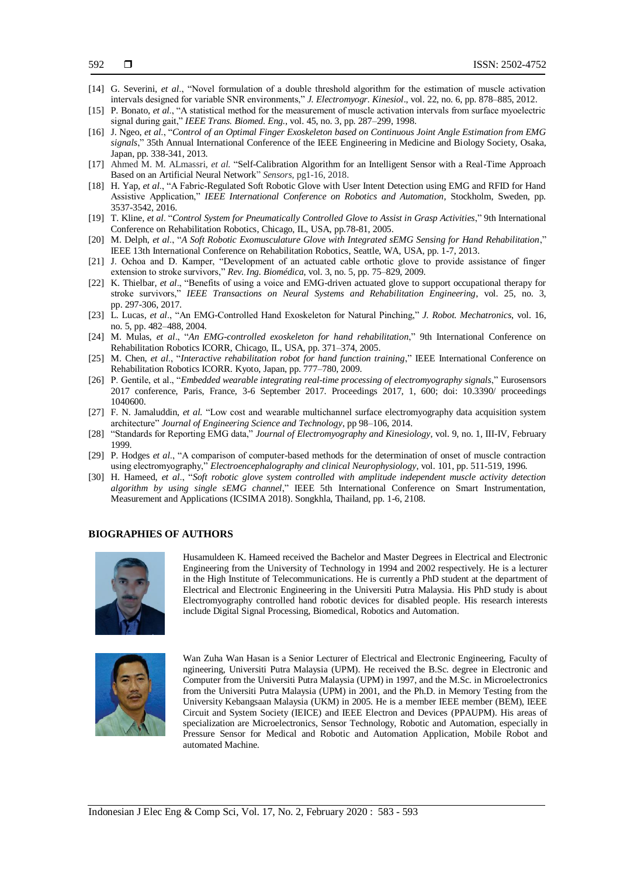- [14] G. Severini, *et al*., "Novel formulation of a double threshold algorithm for the estimation of muscle activation intervals designed for variable SNR environments," *J. Electromyogr. Kinesiol*., vol. 22, no. 6, pp. 878–885, 2012.
- [15] P. Bonato, *et al*., "A statistical method for the measurement of muscle activation intervals from surface myoelectric signal during gait," *IEEE Trans. Biomed. Eng.*, vol. 45, no. 3, pp. 287–299, 1998.
- [16] J. Ngeo, *et al*., "*Control of an Optimal Finger Exoskeleton based on Continuous Joint Angle Estimation from EMG signals*," 35th Annual International Conference of the IEEE Engineering in Medicine and Biology Society*,* Osaka, Japan, pp. 338-341, 2013.
- [17] Ahmed M. M. ALmassri, *et al.* "Self-Calibration Algorithm for an Intelligent Sensor with a Real-Time Approach Based on an Artificial Neural Network" *Sensors*, pg1-16, 2018.
- [18] H. Yap, *et al*., "A Fabric-Regulated Soft Robotic Glove with User Intent Detection using EMG and RFID for Hand Assistive Application," *IEEE International Conference on Robotics and Automation*, Stockholm, Sweden, pp. 3537-3542, 2016.
- [19] T. Kline, *et al*. "*Control System for Pneumatically Controlled Glove to Assist in Grasp Activities*," 9th International Conference on Rehabilitation Robotics, Chicago, IL, USA, pp.78-81, 2005.
- [20] M. Delph, *et al*., "*A Soft Robotic Exomusculature Glove with Integrated sEMG Sensing for Hand Rehabilitation*," IEEE 13th International Conference on Rehabilitation Robotics, Seattle, WA, USA, pp. 1-7, 2013.
- [21] J. Ochoa and D. Kamper, "Development of an actuated cable orthotic glove to provide assistance of finger extension to stroke survivors," *Rev. Ing. Biomédica*, vol. 3, no. 5, pp. 75–829, 2009.
- [22] K. Thielbar, *et al*., "Benefits of using a voice and EMG-driven actuated glove to support occupational therapy for stroke survivors," *IEEE Transactions on Neural Systems and Rehabilitation Engineering*, vol. 25, no. 3, pp. 297-306, 2017.
- [23] L. Lucas, *et al*., "An EMG-Controlled Hand Exoskeleton for Natural Pinching," *J. Robot. Mechatronics*, vol. 16, no. 5, pp. 482–488, 2004.
- [24] M. Mulas, *et al*., "*An EMG-controlled exoskeleton for hand rehabilitation*," 9th International Conference on Rehabilitation Robotics ICORR, Chicago, IL, USA, pp. 371–374, 2005.
- [25] M. Chen, *et al*., "*Interactive rehabilitation robot for hand function training*," IEEE International Conference on Rehabilitation Robotics ICORR. Kyoto, Japan, pp. 777–780, 2009.
- [26] P. Gentile, et al., "*Embedded wearable integrating real-time processing of electromyography signals*," Eurosensors 2017 conference, Paris, France, 3-6 September 2017. Proceedings 2017, 1, 600; doi: 10.3390/ proceedings 1040600.
- [27] F. N. Jamaluddin, *et al.* "Low cost and wearable multichannel surface electromyography data acquisition system architecture" *Journal of Engineering Science and Technology*, pp 98–106, 2014.
- [28] "Standards for Reporting EMG data," *Journal of Electromyography and Kinesiology*, vol. 9, no. 1, III-IV, February 1999.
- [29] P. Hodges *et al*., "A comparison of computer-based methods for the determination of onset of muscle contraction using electromyography," *Electroencephalography and clinical Neurophysiology*, vol. 101, pp. 511-519, 1996.
- [30] H. Hameed, *et al*., "*Soft robotic glove system controlled with amplitude independent muscle activity detection algorithm by using single sEMG channel*," IEEE 5th International Conference on Smart Instrumentation, Measurement and Applications (ICSIMA 2018). Songkhla, Thailand, pp. 1-6, 2108.

## **BIOGRAPHIES OF AUTHORS**



Husamuldeen K. Hameed received the Bachelor and Master Degrees in Electrical and Electronic Engineering from the University of Technology in 1994 and 2002 respectively. He is a lecturer in the High Institute of Telecommunications. He is currently a PhD student at the department of Electrical and Electronic Engineering in the Universiti Putra Malaysia. His PhD study is about Electromyography controlled hand robotic devices for disabled people. His research interests include Digital Signal Processing, Biomedical, Robotics and Automation.



Wan Zuha Wan Hasan is a Senior Lecturer of Electrical and Electronic Engineering, Faculty of ngineering, Universiti Putra Malaysia (UPM). He received the B.Sc. degree in Electronic and Computer from the Universiti Putra Malaysia (UPM) in 1997, and the M.Sc. in Microelectronics from the Universiti Putra Malaysia (UPM) in 2001, and the Ph.D. in Memory Testing from the University Kebangsaan Malaysia (UKM) in 2005. He is a member IEEE member (BEM), IEEE Circuit and System Society (IEICE) and IEEE Electron and Devices (PPAUPM). His areas of specialization are Microelectronics, Sensor Technology, Robotic and Automation, especially in Pressure Sensor for Medical and Robotic and Automation Application, Mobile Robot and automated Machine.